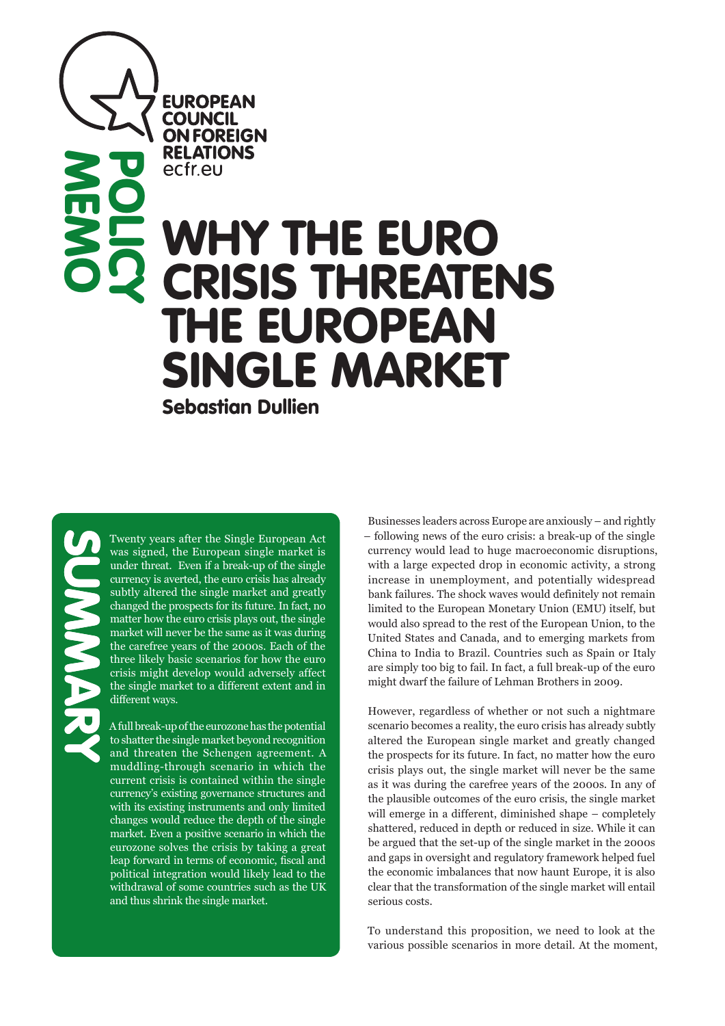**POLICY** ecfreu WHY THE EURO CRISIS THREATENS THE EUROPEAN SINGLE MARKET

Sebastian Dullien

**EUROPEAN COUNCIL ON FOREIGN RELATIONS** 

SUMMARY

**MEMO** 

Twenty years after the Single European Act was signed, the European single market is under threat. Even if a break-up of the single currency is averted, the euro crisis has already subtly altered the single market and greatly changed the prospects for its future. In fact, no matter how the euro crisis plays out, the single market will never be the same as it was during the carefree years of the 2000s. Each of the three likely basic scenarios for how the euro crisis might develop would adversely affect the single market to a different extent and in different ways.

A full break-up of the eurozone has the potential to shatter the single market beyond recognition and threaten the Schengen agreement. A muddling-through scenario in which the current crisis is contained within the single currency's existing governance structures and with its existing instruments and only limited changes would reduce the depth of the single market. Even a positive scenario in which the eurozone solves the crisis by taking a great leap forward in terms of economic, fiscal and political integration would likely lead to the withdrawal of some countries such as the UK and thus shrink the single market.

Businesses leaders across Europe are anxiously – and rightly – following news of the euro crisis: a break-up of the single currency would lead to huge macroeconomic disruptions, with a large expected drop in economic activity, a strong increase in unemployment, and potentially widespread bank failures. The shock waves would definitely not remain limited to the European Monetary Union (EMU) itself, but would also spread to the rest of the European Union, to the United States and Canada, and to emerging markets from China to India to Brazil. Countries such as Spain or Italy are simply too big to fail. In fact, a full break-up of the euro might dwarf the failure of Lehman Brothers in 2009.

However, regardless of whether or not such a nightmare scenario becomes a reality, the euro crisis has already subtly altered the European single market and greatly changed the prospects for its future. In fact, no matter how the euro crisis plays out, the single market will never be the same as it was during the carefree years of the 2000s. In any of the plausible outcomes of the euro crisis, the single market will emerge in a different, diminished shape – completely shattered, reduced in depth or reduced in size. While it can be argued that the set-up of the single market in the 2000s and gaps in oversight and regulatory framework helped fuel the economic imbalances that now haunt Europe, it is also clear that the transformation of the single market will entail serious costs.

To understand this proposition, we need to look at the various possible scenarios in more detail. At the moment,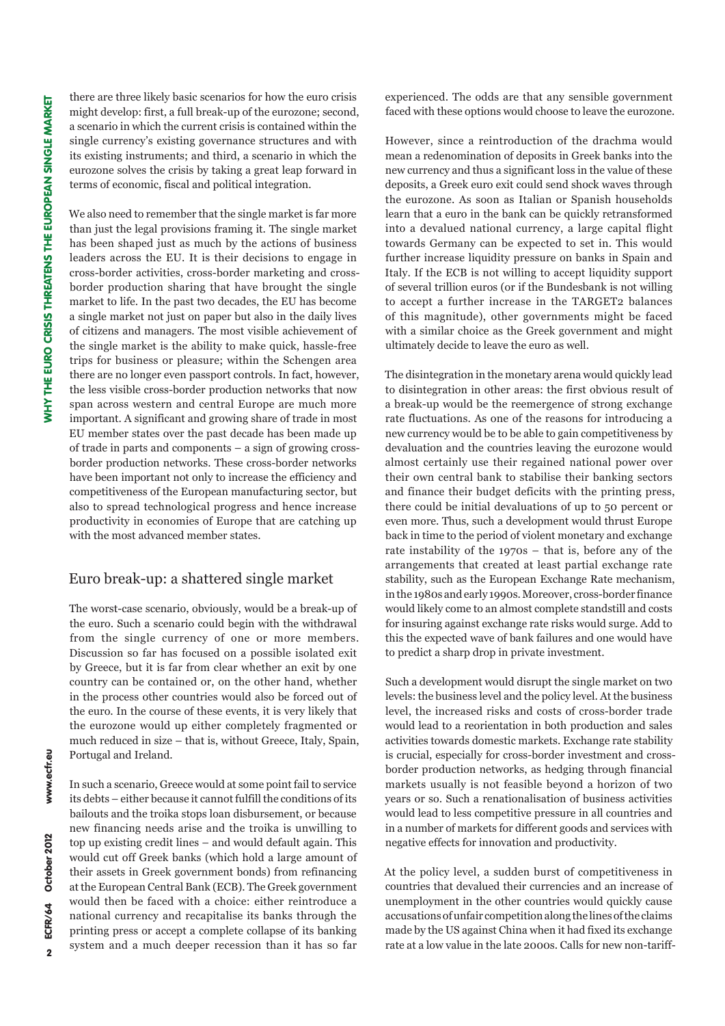there are three likely basic scenarios for how the euro crisis might develop: first, a full break-up of the eurozone; second, a scenario in which the current crisis is contained within the single currency's existing governance structures and with its existing instruments; and third, a scenario in which the eurozone solves the crisis by taking a great leap forward in terms of economic, fiscal and political integration.

We also need to remember that the single market is far more than just the legal provisions framing it. The single market has been shaped just as much by the actions of business leaders across the EU. It is their decisions to engage in cross-border activities, cross-border marketing and crossborder production sharing that have brought the single market to life. In the past two decades, the EU has become a single market not just on paper but also in the daily lives of citizens and managers. The most visible achievement of the single market is the ability to make quick, hassle-free trips for business or pleasure; within the Schengen area there are no longer even passport controls. In fact, however, the less visible cross-border production networks that now span across western and central Europe are much more important. A significant and growing share of trade in most EU member states over the past decade has been made up of trade in parts and components – a sign of growing crossborder production networks. These cross-border networks have been important not only to increase the efficiency and competitiveness of the European manufacturing sector, but also to spread technological progress and hence increase productivity in economies of Europe that are catching up with the most advanced member states.

### Euro break-up: a shattered single market

The worst-case scenario, obviously, would be a break-up of the euro. Such a scenario could begin with the withdrawal from the single currency of one or more members. Discussion so far has focused on a possible isolated exit by Greece, but it is far from clear whether an exit by one country can be contained or, on the other hand, whether in the process other countries would also be forced out of the euro. In the course of these events, it is very likely that the eurozone would up either completely fragmented or much reduced in size – that is, without Greece, Italy, Spain, Portugal and Ireland.

In such a scenario, Greece would at some point fail to service its debts – either because it cannot fulfill the conditions of its bailouts and the troika stops loan disbursement, or because new financing needs arise and the troika is unwilling to top up existing credit lines – and would default again. This would cut off Greek banks (which hold a large amount of their assets in Greek government bonds) from refinancing at the European Central Bank (ECB). The Greek government would then be faced with a choice: either reintroduce a national currency and recapitalise its banks through the printing press or accept a complete collapse of its banking system and a much deeper recession than it has so far experienced. The odds are that any sensible government faced with these options would choose to leave the eurozone.

However, since a reintroduction of the drachma would mean a redenomination of deposits in Greek banks into the new currency and thus a significant loss in the value of these deposits, a Greek euro exit could send shock waves through the eurozone. As soon as Italian or Spanish households learn that a euro in the bank can be quickly retransformed into a devalued national currency, a large capital flight towards Germany can be expected to set in. This would further increase liquidity pressure on banks in Spain and Italy. If the ECB is not willing to accept liquidity support of several trillion euros (or if the Bundesbank is not willing to accept a further increase in the TARGET2 balances of this magnitude), other governments might be faced with a similar choice as the Greek government and might ultimately decide to leave the euro as well.

The disintegration in the monetary arena would quickly lead to disintegration in other areas: the first obvious result of a break-up would be the reemergence of strong exchange rate fluctuations. As one of the reasons for introducing a new currency would be to be able to gain competitiveness by devaluation and the countries leaving the eurozone would almost certainly use their regained national power over their own central bank to stabilise their banking sectors and finance their budget deficits with the printing press, there could be initial devaluations of up to 50 percent or even more. Thus, such a development would thrust Europe back in time to the period of violent monetary and exchange rate instability of the 1970s – that is, before any of the arrangements that created at least partial exchange rate stability, such as the European Exchange Rate mechanism, in the 1980s and early 1990s. Moreover, cross-border finance would likely come to an almost complete standstill and costs for insuring against exchange rate risks would surge. Add to this the expected wave of bank failures and one would have to predict a sharp drop in private investment.

Such a development would disrupt the single market on two levels: the business level and the policy level. At the business level, the increased risks and costs of cross-border trade would lead to a reorientation in both production and sales activities towards domestic markets. Exchange rate stability is crucial, especially for cross-border investment and crossborder production networks, as hedging through financial markets usually is not feasible beyond a horizon of two years or so. Such a renationalisation of business activities would lead to less competitive pressure in all countries and in a number of markets for different goods and services with negative effects for innovation and productivity.

At the policy level, a sudden burst of competitiveness in countries that devalued their currencies and an increase of unemployment in the other countries would quickly cause accusations of unfair competition along the lines of the claims made by the US against China when it had fixed its exchange rate at a low value in the late 2000s. Calls for new non-tariff-

 $\overline{2}$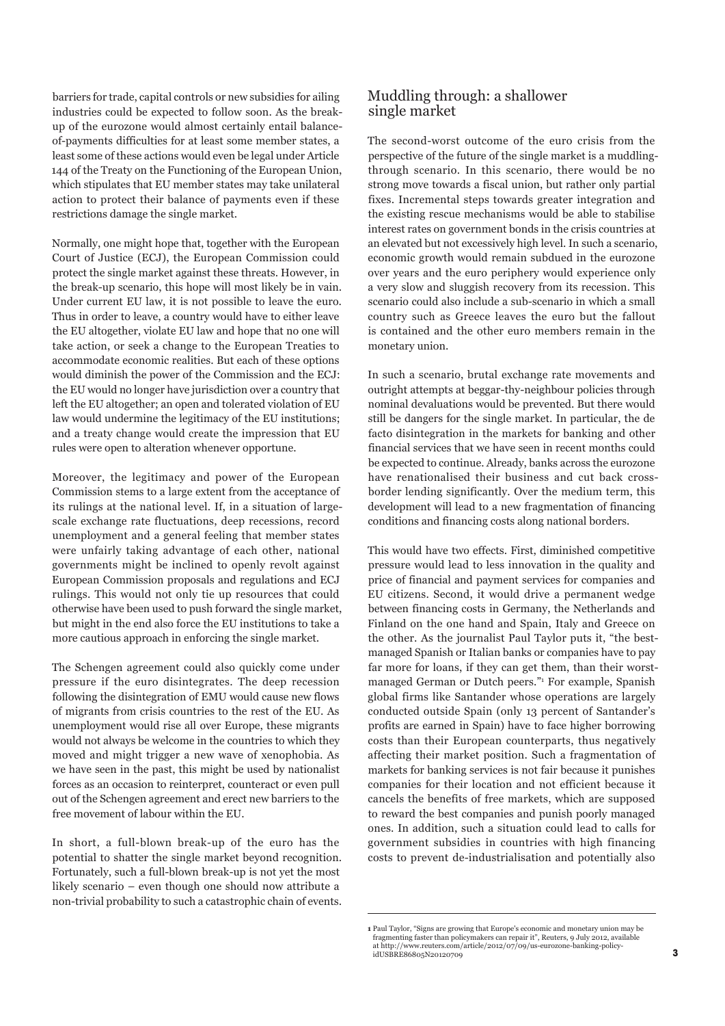barriers for trade, capital controls or new subsidies for ailing industries could be expected to follow soon. As the breakup of the eurozone would almost certainly entail balanceof-payments difficulties for at least some member states, a least some of these actions would even be legal under Article 144 of the Treaty on the Functioning of the European Union, which stipulates that EU member states may take unilateral action to protect their balance of payments even if these restrictions damage the single market.

Normally, one might hope that, together with the European Court of Justice (ECJ), the European Commission could protect the single market against these threats. However, in the break-up scenario, this hope will most likely be in vain. Under current EU law, it is not possible to leave the euro. Thus in order to leave, a country would have to either leave the EU altogether, violate EU law and hope that no one will take action, or seek a change to the European Treaties to accommodate economic realities. But each of these options would diminish the power of the Commission and the ECJ: the EU would no longer have jurisdiction over a country that left the EU altogether; an open and tolerated violation of EU law would undermine the legitimacy of the EU institutions; and a treaty change would create the impression that EU rules were open to alteration whenever opportune.

Moreover, the legitimacy and power of the European Commission stems to a large extent from the acceptance of its rulings at the national level. If, in a situation of largescale exchange rate fluctuations, deep recessions, record unemployment and a general feeling that member states were unfairly taking advantage of each other, national governments might be inclined to openly revolt against European Commission proposals and regulations and ECJ rulings. This would not only tie up resources that could otherwise have been used to push forward the single market, but might in the end also force the EU institutions to take a more cautious approach in enforcing the single market.

The Schengen agreement could also quickly come under pressure if the euro disintegrates. The deep recession following the disintegration of EMU would cause new flows of migrants from crisis countries to the rest of the EU. As unemployment would rise all over Europe, these migrants would not always be welcome in the countries to which they moved and might trigger a new wave of xenophobia. As we have seen in the past, this might be used by nationalist forces as an occasion to reinterpret, counteract or even pull out of the Schengen agreement and erect new barriers to the free movement of labour within the EU.

In short, a full-blown break-up of the euro has the potential to shatter the single market beyond recognition. Fortunately, such a full-blown break-up is not yet the most likely scenario – even though one should now attribute a non-trivial probability to such a catastrophic chain of events.

### Muddling through: a shallower single market

The second-worst outcome of the euro crisis from the perspective of the future of the single market is a muddlingthrough scenario. In this scenario, there would be no strong move towards a fiscal union, but rather only partial fixes. Incremental steps towards greater integration and the existing rescue mechanisms would be able to stabilise interest rates on government bonds in the crisis countries at an elevated but not excessively high level. In such a scenario, economic growth would remain subdued in the eurozone over years and the euro periphery would experience only a very slow and sluggish recovery from its recession. This scenario could also include a sub-scenario in which a small country such as Greece leaves the euro but the fallout is contained and the other euro members remain in the monetary union.

In such a scenario, brutal exchange rate movements and outright attempts at beggar-thy-neighbour policies through nominal devaluations would be prevented. But there would still be dangers for the single market. In particular, the de facto disintegration in the markets for banking and other financial services that we have seen in recent months could be expected to continue. Already, banks across the eurozone have renationalised their business and cut back crossborder lending significantly. Over the medium term, this development will lead to a new fragmentation of financing conditions and financing costs along national borders.

This would have two effects. First, diminished competitive pressure would lead to less innovation in the quality and price of financial and payment services for companies and EU citizens. Second, it would drive a permanent wedge between financing costs in Germany, the Netherlands and Finland on the one hand and Spain, Italy and Greece on the other. As the journalist Paul Taylor puts it, "the bestmanaged Spanish or Italian banks or companies have to pay far more for loans, if they can get them, than their worstmanaged German or Dutch peers."1 For example, Spanish global firms like Santander whose operations are largely conducted outside Spain (only 13 percent of Santander's profits are earned in Spain) have to face higher borrowing costs than their European counterparts, thus negatively affecting their market position. Such a fragmentation of markets for banking services is not fair because it punishes companies for their location and not efficient because it cancels the benefits of free markets, which are supposed to reward the best companies and punish poorly managed ones. In addition, such a situation could lead to calls for government subsidies in countries with high financing costs to prevent de-industrialisation and potentially also

**<sup>1</sup>** Paul Taylor, "Signs are growing that Europe's economic and monetary union may be fragmenting faster than policymakers can repair it", Reuters, 9 July 2012, available at http://www.reuters.com/article/2012/07/09/us-eurozone-banking-policyidUSBRE86805N20120709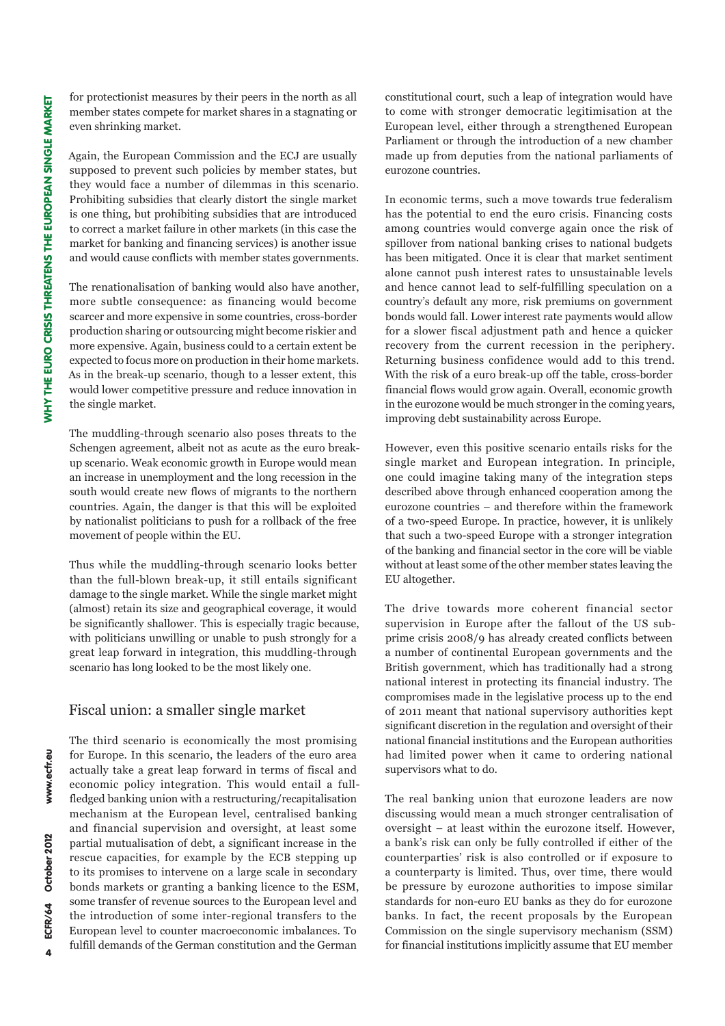for protectionist measures by their peers in the north as all member states compete for market shares in a stagnating or even shrinking market.

Again, the European Commission and the ECJ are usually supposed to prevent such policies by member states, but they would face a number of dilemmas in this scenario. Prohibiting subsidies that clearly distort the single market is one thing, but prohibiting subsidies that are introduced to correct a market failure in other markets (in this case the market for banking and financing services) is another issue and would cause conflicts with member states governments.

The renationalisation of banking would also have another, more subtle consequence: as financing would become scarcer and more expensive in some countries, cross-border production sharing or outsourcing might become riskier and more expensive. Again, business could to a certain extent be expected to focus more on production in their home markets. As in the break-up scenario, though to a lesser extent, this would lower competitive pressure and reduce innovation in the single market.

The muddling-through scenario also poses threats to the Schengen agreement, albeit not as acute as the euro breakup scenario. Weak economic growth in Europe would mean an increase in unemployment and the long recession in the south would create new flows of migrants to the northern countries. Again, the danger is that this will be exploited by nationalist politicians to push for a rollback of the free movement of people within the EU.

Thus while the muddling-through scenario looks better than the full-blown break-up, it still entails significant damage to the single market. While the single market might (almost) retain its size and geographical coverage, it would be significantly shallower. This is especially tragic because, with politicians unwilling or unable to push strongly for a great leap forward in integration, this muddling-through scenario has long looked to be the most likely one.

# Fiscal union: a smaller single market

The third scenario is economically the most promising for Europe. In this scenario, the leaders of the euro area actually take a great leap forward in terms of fiscal and economic policy integration. This would entail a fullfledged banking union with a restructuring/recapitalisation mechanism at the European level, centralised banking and financial supervision and oversight, at least some partial mutualisation of debt, a significant increase in the rescue capacities, for example by the ECB stepping up to its promises to intervene on a large scale in secondary bonds markets or granting a banking licence to the ESM, some transfer of revenue sources to the European level and the introduction of some inter-regional transfers to the European level to counter macroeconomic imbalances. To fulfill demands of the German constitution and the German

constitutional court, such a leap of integration would have to come with stronger democratic legitimisation at the European level, either through a strengthened European Parliament or through the introduction of a new chamber made up from deputies from the national parliaments of eurozone countries.

In economic terms, such a move towards true federalism has the potential to end the euro crisis. Financing costs among countries would converge again once the risk of spillover from national banking crises to national budgets has been mitigated. Once it is clear that market sentiment alone cannot push interest rates to unsustainable levels and hence cannot lead to self-fulfilling speculation on a country's default any more, risk premiums on government bonds would fall. Lower interest rate payments would allow for a slower fiscal adjustment path and hence a quicker recovery from the current recession in the periphery. Returning business confidence would add to this trend. With the risk of a euro break-up off the table, cross-border financial flows would grow again. Overall, economic growth in the eurozone would be much stronger in the coming years, improving debt sustainability across Europe.

However, even this positive scenario entails risks for the single market and European integration. In principle, one could imagine taking many of the integration steps described above through enhanced cooperation among the eurozone countries – and therefore within the framework of a two-speed Europe. In practice, however, it is unlikely that such a two-speed Europe with a stronger integration of the banking and financial sector in the core will be viable without at least some of the other member states leaving the EU altogether.

The drive towards more coherent financial sector supervision in Europe after the fallout of the US subprime crisis 2008/9 has already created conflicts between a number of continental European governments and the British government, which has traditionally had a strong national interest in protecting its financial industry. The compromises made in the legislative process up to the end of 2011 meant that national supervisory authorities kept significant discretion in the regulation and oversight of their national financial institutions and the European authorities had limited power when it came to ordering national supervisors what to do.

The real banking union that eurozone leaders are now discussing would mean a much stronger centralisation of oversight – at least within the eurozone itself. However, a bank's risk can only be fully controlled if either of the counterparties' risk is also controlled or if exposure to a counterparty is limited. Thus, over time, there would be pressure by eurozone authorities to impose similar standards for non-euro EU banks as they do for eurozone banks. In fact, the recent proposals by the European Commission on the single supervisory mechanism (SSM) for financial institutions implicitly assume that EU member

www.ecfr.eu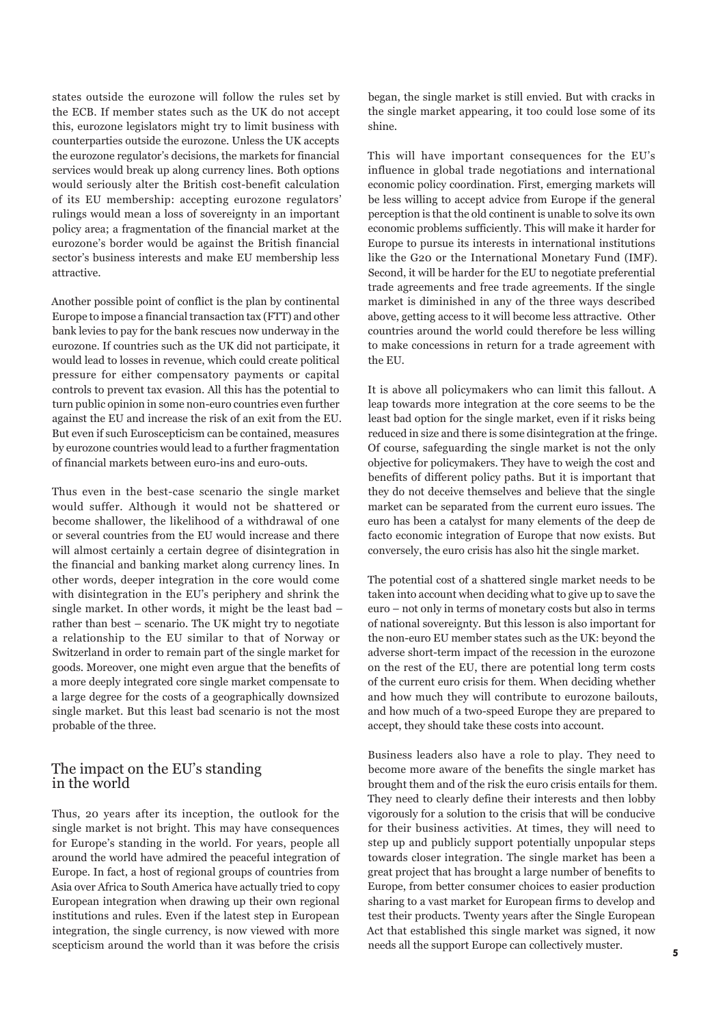states outside the eurozone will follow the rules set by the ECB. If member states such as the UK do not accept this, eurozone legislators might try to limit business with counterparties outside the eurozone. Unless the UK accepts the eurozone regulator's decisions, the markets for financial services would break up along currency lines. Both options would seriously alter the British cost-benefit calculation of its EU membership: accepting eurozone regulators' rulings would mean a loss of sovereignty in an important policy area; a fragmentation of the financial market at the eurozone's border would be against the British financial sector's business interests and make EU membership less attractive.

Another possible point of conflict is the plan by continental Europe to impose a financial transaction tax (FTT) and other bank levies to pay for the bank rescues now underway in the eurozone. If countries such as the UK did not participate, it would lead to losses in revenue, which could create political pressure for either compensatory payments or capital controls to prevent tax evasion. All this has the potential to turn public opinion in some non-euro countries even further against the EU and increase the risk of an exit from the EU. But even if such Euroscepticism can be contained, measures by eurozone countries would lead to a further fragmentation of financial markets between euro-ins and euro-outs.

Thus even in the best-case scenario the single market would suffer. Although it would not be shattered or become shallower, the likelihood of a withdrawal of one or several countries from the EU would increase and there will almost certainly a certain degree of disintegration in the financial and banking market along currency lines. In other words, deeper integration in the core would come with disintegration in the EU's periphery and shrink the single market. In other words, it might be the least bad – rather than best – scenario. The UK might try to negotiate a relationship to the EU similar to that of Norway or Switzerland in order to remain part of the single market for goods. Moreover, one might even argue that the benefits of a more deeply integrated core single market compensate to a large degree for the costs of a geographically downsized single market. But this least bad scenario is not the most probable of the three.

### The impact on the EU's standing in the world

Thus, 20 years after its inception, the outlook for the single market is not bright. This may have consequences for Europe's standing in the world. For years, people all around the world have admired the peaceful integration of Europe. In fact, a host of regional groups of countries from Asia over Africa to South America have actually tried to copy European integration when drawing up their own regional institutions and rules. Even if the latest step in European integration, the single currency, is now viewed with more scepticism around the world than it was before the crisis began, the single market is still envied. But with cracks in the single market appearing, it too could lose some of its shine.

This will have important consequences for the EU's influence in global trade negotiations and international economic policy coordination. First, emerging markets will be less willing to accept advice from Europe if the general perception is that the old continent is unable to solve its own economic problems sufficiently. This will make it harder for Europe to pursue its interests in international institutions like the G20 or the International Monetary Fund (IMF). Second, it will be harder for the EU to negotiate preferential trade agreements and free trade agreements. If the single market is diminished in any of the three ways described above, getting access to it will become less attractive. Other countries around the world could therefore be less willing to make concessions in return for a trade agreement with the EU.

It is above all policymakers who can limit this fallout. A leap towards more integration at the core seems to be the least bad option for the single market, even if it risks being reduced in size and there is some disintegration at the fringe. Of course, safeguarding the single market is not the only objective for policymakers. They have to weigh the cost and benefits of different policy paths. But it is important that they do not deceive themselves and believe that the single market can be separated from the current euro issues. The euro has been a catalyst for many elements of the deep de facto economic integration of Europe that now exists. But conversely, the euro crisis has also hit the single market.

The potential cost of a shattered single market needs to be taken into account when deciding what to give up to save the euro – not only in terms of monetary costs but also in terms of national sovereignty. But this lesson is also important for the non-euro EU member states such as the UK: beyond the adverse short-term impact of the recession in the eurozone on the rest of the EU, there are potential long term costs of the current euro crisis for them. When deciding whether and how much they will contribute to eurozone bailouts, and how much of a two-speed Europe they are prepared to accept, they should take these costs into account.

Business leaders also have a role to play. They need to become more aware of the benefits the single market has brought them and of the risk the euro crisis entails for them. They need to clearly define their interests and then lobby vigorously for a solution to the crisis that will be conducive for their business activities. At times, they will need to step up and publicly support potentially unpopular steps towards closer integration. The single market has been a great project that has brought a large number of benefits to Europe, from better consumer choices to easier production sharing to a vast market for European firms to develop and test their products. Twenty years after the Single European Act that established this single market was signed, it now needs all the support Europe can collectively muster.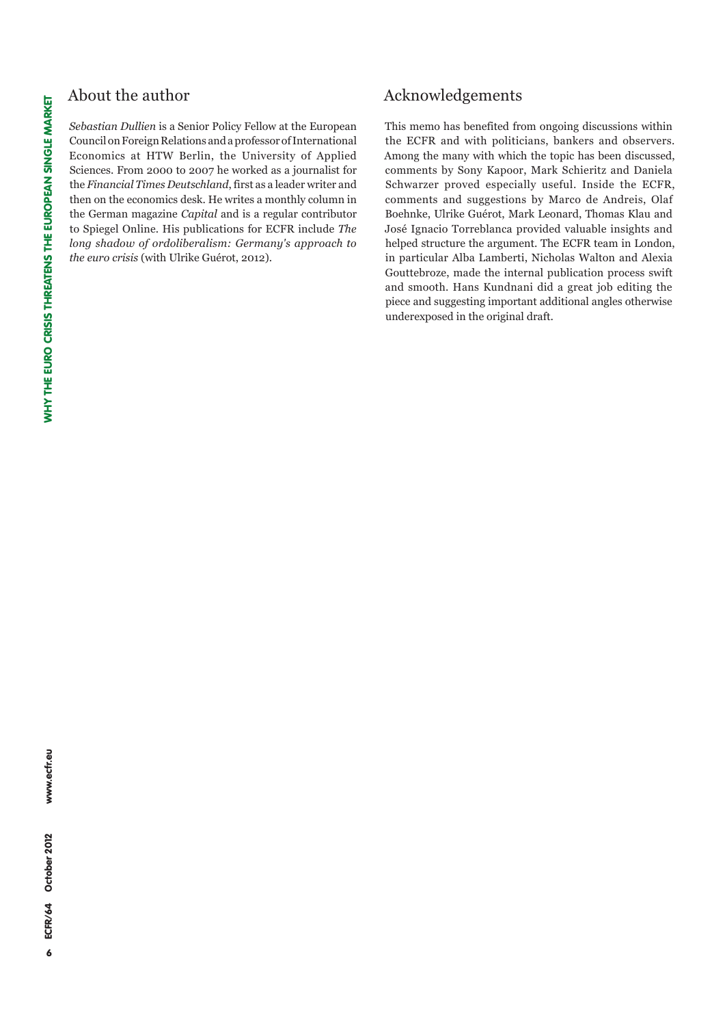## About the author

*Sebastian Dullien* is a Senior Policy Fellow at the European Council on Foreign Relations and a professor of International Economics at HTW Berlin, the University of Applied Sciences. From 2000 to 2007 he worked as a journalist for the *Financial Times Deutschland*, first as a leader writer and then on the economics desk. He writes a monthly column in the German magazine *Capital* and is a regular contributor to Spiegel Online. His publications for ECFR include *The long shadow of ordoliberalism: Germany's approach to the euro crisis* (with Ulrike Guérot, 2012).

# Acknowledgements

This memo has benefited from ongoing discussions within the ECFR and with politicians, bankers and observers. Among the many with which the topic has been discussed, comments by Sony Kapoor, Mark Schieritz and Daniela Schwarzer proved especially useful. Inside the ECFR, comments and suggestions by Marco de Andreis, Olaf Boehnke, Ulrike Guérot, Mark Leonard, Thomas Klau and José Ignacio Torreblanca provided valuable insights and helped structure the argument. The ECFR team in London, in particular Alba Lamberti, Nicholas Walton and Alexia Gouttebroze, made the internal publication process swift and smooth. Hans Kundnani did a great job editing the piece and suggesting important additional angles otherwise underexposed in the original draft.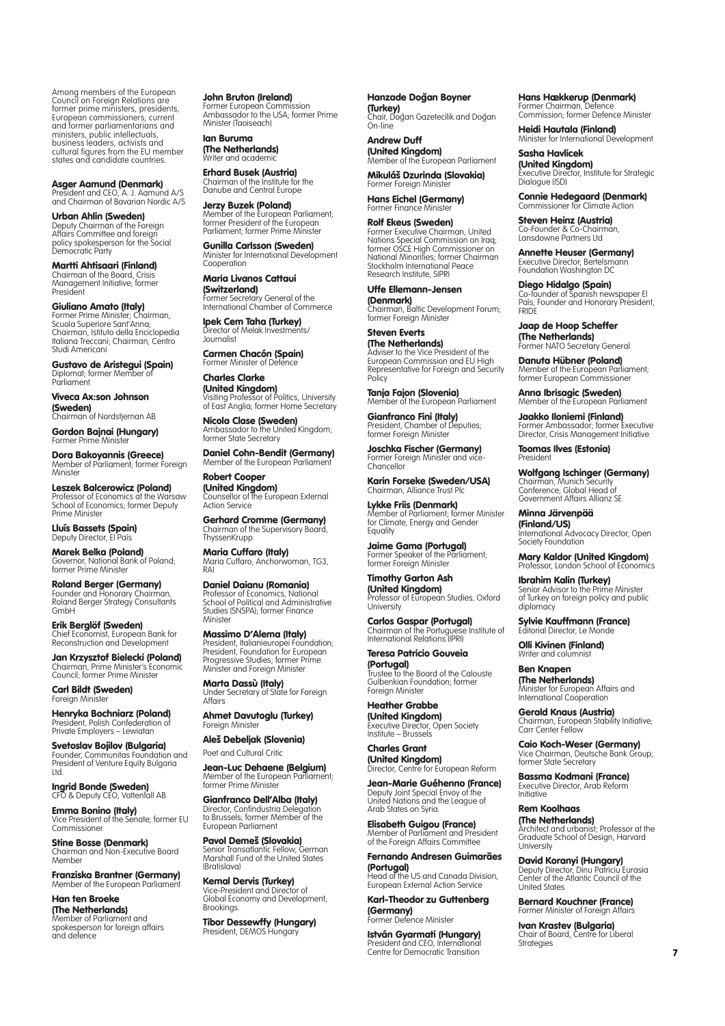Among members of the European Council on Foreign Relations are former prime ministers, presidents, European commissioners, current and former parliamentarians and ministers, public intellectuals, business leaders, activists and cultural figures from the EU member states and candidate countries.

Asger Aamund (Denmark) President and CEO, A. J. Aamund A/S and Chairman of Bavarian Nordic A/S

Urban Ahlin (Sweden) Deputy Chairman of the Foreign Affairs Committee and foreign policy spokesperson for the Social Democratic Party

Martti Ahtisaari (Finland) Chairman of the Board, Crisis Management Initiative; former President

Giuliano Amato (Italy) Former Prime Minister; Chairman, Scuola Superiore Sant'Anna; Chairman, Istituto della Enciclopedia Italiana Treccani; Chairman, Centro Studi Americani

**Gustavo de Aristegui (Spain)**<br>Diplomat; former Member of Parliament

Viveca Ax:son Johnson (Sweden) Chairman of Nordstjernan AB

Gordon Bajnai (Hungary) Former Prime Ministe

Dora Bakoyannis (Greece) Member of Parliament; former Foreign **Minister** 

Leszek Balcerowicz (Poland) Professor of Economics at the Warsaw School of Economics; former Deputy Prime Minister

**Lluís Bassets (Spain)**<br>Deputy Director, El País

Marek Belka (Poland) Governor, National Bank of Poland; former Prime Minister

**Roland Berger (Germany)**<br>Founder and Honorary Chairman,<br>Roland Berger Strategy Consultants GmbH

Erik Berglöf (Sweden) Chief Economist, European Bank for Reconstruction and Development

**Jan Krzysztof Bielecki (Poland)**<br>Chairman, Prime Minister's Economic<br>Council; former Prime Minister

Carl Bildt (Sweden) Foreign Minister

**Henryka Bochniarz (Poland)**<br>President, Polish Confederation of Private Employers – Lewiatan

Svetoslav Bojilov (Bulgaria) Founder, Communitas Foundation and President of Venture Equity Bulgaria Ltd.

**Ingrid Bonde (Sweden)**<br>CFO & Deputy CEO, Vattenfall AB

**Emma Bonino (Italy)**<br>Vice President of the Senate; former EU Commissioner

**Stine Bosse (Denmark)**<br>Chairman and Non-Executive Board **Member** 

Franziska Brantner (Germany) Member of the European Parliament

Han ten Broeke **(The Netherlands)**<br>Member of Parliament and<br>spokesperson for foreign affairs and defence

John Bruton (Ireland) Former European Commission Ambassador to the USA; former Prime Minister (Taoiseach)

Ian Buruma (The Netherlands) .<br>Writer and academi

**Erhard Busek (Austria)**<br>Chairman of the Institute for the Danube and Central Europe

Jerzy Buzek (Poland) Member of the European Parliament; former President of the European Parliament; former Prime Minister

Gunilla Carlsson (Sweden) Minister for International Development Cooperation

Maria Livanos Cattaui (Switzerland) Former Secretary General of the International Chamber of Commerce

Ipek Cem Taha (Turkey) Director of Melak Investments/ Journalist

Carmen Chacón (Spain) Former Minister of Defence

Charles Clarke (United Kingdom) Visiting Professor of Politics, University of East Anglia; former Home Secretary

**Nicola Clase (Sweden)**<br>Ambassador to the United Kingdom;<br>former State Secretary

**Daniel Cohn-Bendit (Germany)**<br>Member of the European Parliament

Robert Cooper (United Kingdom)<br>Counsellor of the European External Action Service

Gerhard Cromme (Germany) Chairman of the Supervisory Board, ThyssenKrupp

Maria Cuffaro (Italy) Maria Cuffaro, Anchorwoman, TG3, RAI

Daniel Daianu (Romania) Professor of Economics, National School of Political and Administrative Studies (SNSPA); former Finance Minister

**Massimo D'Alema (Italy)**<br>President, Italianieuropei Foundation; President, Foundation for European Progressive Studies; former Prime Minister and Foreign Minister

**Marta Dassù (Italy)**<br>Under Secretary of State for Foreign Affairs

Ahmet Davutoglu (Turkey) Foreign Ministe

Aleš Debeljak (Slovenia) Poet and Cultural Critic

**Jean-Luc Dehaene (Belgium)**<br>Member of the European Parliament; former Prime Minister

Gianfranco Dell'Alba (Italy) Director, Confindustria Delegation to Brussels; former Member of the European Parliament

**Pavol Demeš (Slovakia)**<br>Senior Transatlantic Fellow, German Marshall Fund of the United States (Bratislava)

**Kemal Dervis (Turkey)**<br>Vice-President and Director of Global Economy and Development, **Brookings** 

Tibor Dessewffy (Hungary) President, DEMOS Hungary

Hanzade Doğan Boyner (Turkey) Chair, Dog˘an Gazetecilik and Dog˘an

On-line

Andrew Duff (United Kingdom) Member of the European Parliament

Mikuláš Dzurinda (Slovakia) Former Foreign Minis

Hans Eichel (Germany) Former Finance Ministe

**Rolf Ekeus (Sweden)**<br>Former Executive Chairman, United<br>Nations Special Commission on Iraq; former OSCE High Commissioner on National Minorities; former Chairman Stockholm International Peace Research Institute, SIPRI

Uffe Ellemann-Jensen (Denmark) Chairman, Baltic Development Forum; former Foreign Minister

Steven Everts **(The Netherlands)**<br>Adviser to the Vice President of the European Commission and EU High Representative for Foreign and Security Policy

**Tanja Fajon (Slovenia)**<br>Member of the European Parliament

Gianfranco Fini (Italy) President, Chamber of Deputies; former Foreign Minister

Joschka Fischer (Germany) Former Foreign Minister and vice-Chancellor

Karin Forseke (Sweden/USA) Chairman, Alliance Trust Plc

Lykke Friis (Denmark) Member of Parliament; former Minister for Climate, Energy and Gender Equality

Jaime Gama (Portugal) Former Speaker of the Parliament; former Foreign Minister

Timothy Garton Ash **(United Kingdom)**<br>Professor of European Studies, Oxford<br>University

**Carlos Gaspar (Portugal)**<br>Chairman of the Portuguese Institute of International Relations (IPRI)

Teresa Patricio Gouveia (Portugal) Trustee to the Board of the Calouste Gulbenkian Foundation; former Foreign Minister

Heather Grabbe (United Kingdom) Executive Director, Open Society Institute – Brussels

Charles Grant (United Kingdom) Director, Centre for European Reform

Jean-Marie Guéhenno (France) Deputy Joint Special Envoy of the United Nations and the League of Arab States on Syria.

**Elisabeth Guigou (France)**<br>Member of Parliament and President<br>of the Foreign Affairs Committee

Fernando Andresen Guimarães (Portugal) **Head of the US and Canada Division.** European External Action Service

Karl-Theodor zu Guttenberg (Germany) Former Defence Minister

**István Gyarmati (Hungary)**<br>President and CEO, International<br>Centre for Democratic Transition

Hans Hækkerup (Denmark)<br>Former Chairman, Defence Commission; former Defence Minister

Heidi Hautala (Finland) Minister for International Development

Sasha Havlicek (United Kingdom) Executive Director, Institute for Strategic Dialogue (ISD)

Connie Hedegaard (Denmark) Commissioner for Climate Action

Steven Heinz (Austria) Co-Founder & Co-Chairman, Lansdowne Partners Ltd

Annette Heuser (Germany) Executive Director, Bertelsmann Foundation Washington DC

**Diego Hidalgo (Spain)**<br>Co-founder of Spanish newspaper El<br>País; Founder and Honorary President, **FRIDE** 

Jaap de Hoop Scheffer **(The Netherlands)**<br>Former NATO Secretary General

**Danuta Hübner (Poland)**<br>Member of the European Parliament; former European Commissioner

Anna Ibrisagic (Sweden)<br>Member of the European Parliament

Jaakko Iloniemi (Finland) Former Ambassador; former Executive Director, Crisis Management Initiative

Toomas Ilves (Estonia) **President** 

Wolfgang Ischinger (Germany) Chairman, Munich Security Conference; Global Head of Government Affairs Allianz SE

Minna Järvenpää (Finland/US) **International Advocacy Director, Open** Society Foundation

Mary Kaldor (United Kingdom) Professor, London School of Economics

Ibrahim Kalin (Turkey) Senior Advisor to the Prime Minister of Turkey on foreign policy and public diplomacy

Sylvie Kauffmann (France) **Editorial Director, Le Monde** 

**Olli Kivinen (Finland)**<br>Writer and columnist

Ben Knapen (The Netherlands) Minister for European Affairs and International Cooperation

Gerald Knaus (Austria) Chairman, European Stability Initiative; Carr Center Fellow

Caio Koch-Weser (Germany) Vice Chairman, Deutsche Bank Group; former State Secretary

Bassma Kodmani (France) Executive Director, Arab Reform **Initiative** 

Rem Koolhaas

(The Netherlands) Architect and urbanist; Professor at the Graduate School of Design, Harvard **University** 

**David Koranyi (Hungary)**<br>Deputy Director, Dinu Patriciu Eurasia<br>Center of the Atlantic Council of the United States

Bernard Kouchner (France) Former Minister of Foreign Affairs

**Ivan Krastev (Bulgaria)**<br>Chair of Board, Centre for Liberal **Strategies**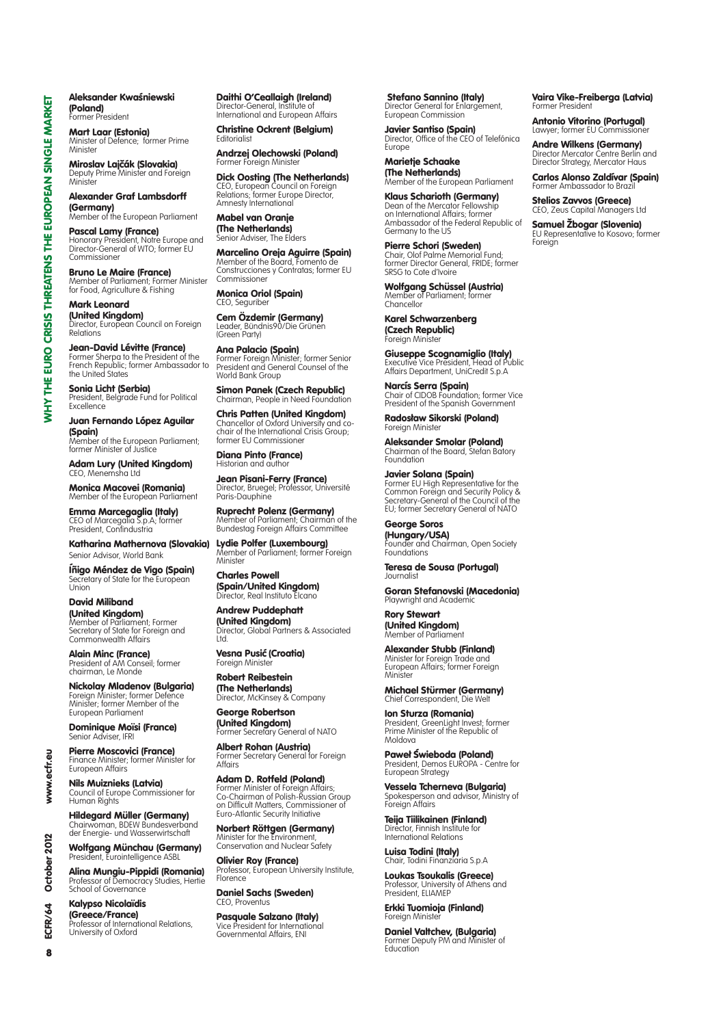Aleksander Kwaśniewski (Poland) Former President

Mart Laar (Estonia) Minister of Defence; former Prime **Ministar** 

Miroslav Lajčák (Slovakia) Deputy Prime Minister and Foreign Minister

Alexander Graf Lambsdorff **(Germany)**<br>Member of the European Parliament

**Pascal Lamy (France)**<br>Honorary President, Notre Europe and<br>Director-General of WTO; former EU Commissioner

**Bruno Le Maire (France)**<br>Member of Parliament; Former Minister<br>for Food, Agriculture & Fishing

Mark Leonard (United Kingdom) Director, European Council on Foreign Relations

**Jean-David Lévitte (France)**<br>Former Sherpa to the President of the<br>French Republic; former Ambassador to the United States

Sonia Licht (Serbia) President, Belgrade Fund for Political Excellence

Juan Fernando López Aguilar **(Spain)**<br>Member of the European Parliament; former Minister of Justice

**Adam Lury (United Kingdom)**<br>CEO, Menemsha Ltd

Monica Macovei (Romania) Member of the European Parliament

Emma Marcegaglia (Italy) CEO of Marceaalia S.p.A; former President, Confindustria

Katharina Mathernova (Slovakia) Senior Advisor, World Bank

**Íñigo Méndez de Vigo (Spain)**<br>Secretary of State for the European Union

David Miliband (United Kingdom) Member of Parliament; Former Secretary of State for Foreign and Commonwealth Affairs

**Alain Minc (France)**<br>President of AM Conseil; former chairman, Le Monde

Nickolay Mladenov (Bulgaria) Foreign Minister; former Defence Minister; former Member of the European Parliament

**Dominique Moïsi (France)**<br>Senior Adviser, IFRI

Pierre Moscovici (France)<br>Finance Minister; former Minister for European Affairs

Nils Muiznieks (Latvia) Council of Europe Commissioner for Human Rights

**Hildegard Müller (Germany)**<br>Chairwoman, BDEW Bundesverband der Energie- und Wasserwirtschaft

**Wolfgang Münchau (Germany)**<br>President, Eurointelligence ASBL

Alina Mungiu-Pippidi (Romania) Professor of Democracy Studies, Hertie School of Governance

Kalypso Nicolaïdis (Greece/France) Professor of International Relations, University of Oxford

Daithi O'Ceallaigh (Ireland) Director-General, Institute of International and European Affairs

Christine Ockrent (Belgium) **Editorialist** 

Andrzej Olechowski (Poland) Former Foreign Minister

**Dick Oosting (The Netherlands)**<br>CEO, European Council on Foreign<br>Relations; former Europe Director, Amnesty International

Mabel van Oranje (The Netherlands) Senior Adviser, The Elders

Marcelino Oreja Aguirre (Spain) Member of the Board, Fomento de Construcciones y Contratas; former EU Commissioner

Monica Oriol (Spain) CFO, Seauribe

Cem Özdemir (Germany) Leader, Bündnis90/Die Grünen (Green Party)

**Ana Palacio (Spain)**<br>Former Foreign Minister; former Senior<br>President and General Counsel of the World Bank Group

Simon Panek (Czech Republic) Chairman, People in Need Foundation

Chris Patten (United Kingdom) Chancellor of Oxford University and co-chair of the International Crisis Group; former EU Commissioner

Diana Pinto (France) Historian and author

**Jean Pisani-Ferry (France)**<br>Director, Bruegel; Professor, Université Paris-Dauphine

Ruprecht Polenz (Germany) Member of Parliament; Chairman of the Bundestag Foreign Affairs Committee

Lydie Polfer (Luxembourg)<br>Member of Parliament; former Foreign Minister

Charles Powell (Spain/United Kingdom) Director, Real Instituto Elcano

Andrew Puddephatt (United Kingdom)<br>Director, Global Partners & Associated Ltd.

**Vesna Pusić (Croatia)** Foreign Minist

Robert Reibestein (The Netherlands) Director, McKinsey & Company

Affairs

George Robertson (United Kingdom)

Former Secretary General of NATO Albert Rohan (Austria) Former Secretary General for Foreign

Adam D. Rotfeld (Poland) Former Minister of Foreign Affairs; Co-Chairman of Polish-Russian Group on Difficult Matters, Commissioner of Euro-Atlantic Security Initiative

**Norbert Röttgen (Germany)**<br>Minister for the Environment,<br>Conservation and Nuclear Safety

**Olivier Roy (France)**<br>Professor, European University Institute, Florence

Daniel Sachs (Sweden) CEO, Proventus

Pasquale Salzano (Italy) Vice President for International Governmental Affairs, ENI

 Stefano Sannino (Italy) Director General for Enlargement, European Commission

**Javier Santiso (Spain)**<br>Director, Office of the CEO of Telefónica Europe

Vaira Vike-Freiberga (Latvia)

Antonio Vitorino (Portugal) Lawyer; former EU Commissioner

**Andre Wilkens (Germany)**<br>Director Mercator Centre Berlin and<br>Director Strategy, Mercator Haus Carlos Alonso Zaldívar (Spain) Former Ambassador to Braz **Stelios Zavvos (Greece)**<br>CEO, Zeus Capital Managers Ltd Samuel Žbogar (Slovenia) EU Representative to Kosovo; former

Former President

Foreign

**Marietie Schaake (The Netherlands)**<br>Member of the European Parliament

Klaus Scharioth (Germany) Dean of the Mercator Fellowship on International Affairs; former Ambassador of the Federal Republic of Germany to the US

Pierre Schori (Sweden) Chair, Olof Palme Memorial Fund; former Director General, FRIDE; former SRSG to Cote d'Ivoire

Wolfgang Schüssel (Austria) Member of Parliament; former Chancellor

Karel Schwarzenberg (Czech Republic) Foreign Minister

**Giuseppe Scognamiglio (Italy)**<br>Executive Vice President, Head of Public<br>Affairs Department, UniCredit S.p.A

**Narcís Serra (Spain)**<br>Chair of CIDOB Foundation; former Vice<br>President of the Spanish Government

**Radosław Sikorski (Poland)**<br>Foreign Minister

Aleksander Smolar (Poland)<br>Chairman of the Board, Stefan Batory Foundation

Javier Solana (Spain) Former EU High Representative for the Common Foreign and Security Policy & Secretary-General of the Council of the EU; former Secretary General of NATO

George Soros (Hungary/USA) Founder and Chairman, Open Society Foundations

Teresa de Sousa (Portugal) Journalist

Goran Stefanovski (Macedonia) Playwright and Academi

Rory Stewart (**United Kingdom)**<br>Member of Parliament

Alexander Stubb (Finland) Minister for Foreign Trade and European Affairs; former Foreign **Minister** 

Michael Stürmer (Germany) Chief Correspondent, Die Welt

Ion Sturza (Romania) President, GreenLight Invest; former Prime Minister of the Republic of Moldova

**Paweł Świeboda (Poland)**<br>President, Demos EUROPA - Centre for European Strategy

Vessela Tcherneva (Bulgaria) Spokesperson and advisor, Ministry of Foreign Affairs

Teija Tiilikainen (Finland) Director, Finnish Institute for International Relations

Luisa Todini (Italy) Chair, Todini Finanziaria S.p.A

Loukas Tsoukalis (Greece) Professor, University of Athens and President, ELIAMEP

Erkki Tuomioja (Finland) Foreign Minister

**Daniel Valtchev, (Bulgaria)**<br>Former Deputy PM and Minister of **Education** 

ECFR/  $\mathbf{a}$ 

ā

www.ecfr.

2012

October

 $\mathbf{z}$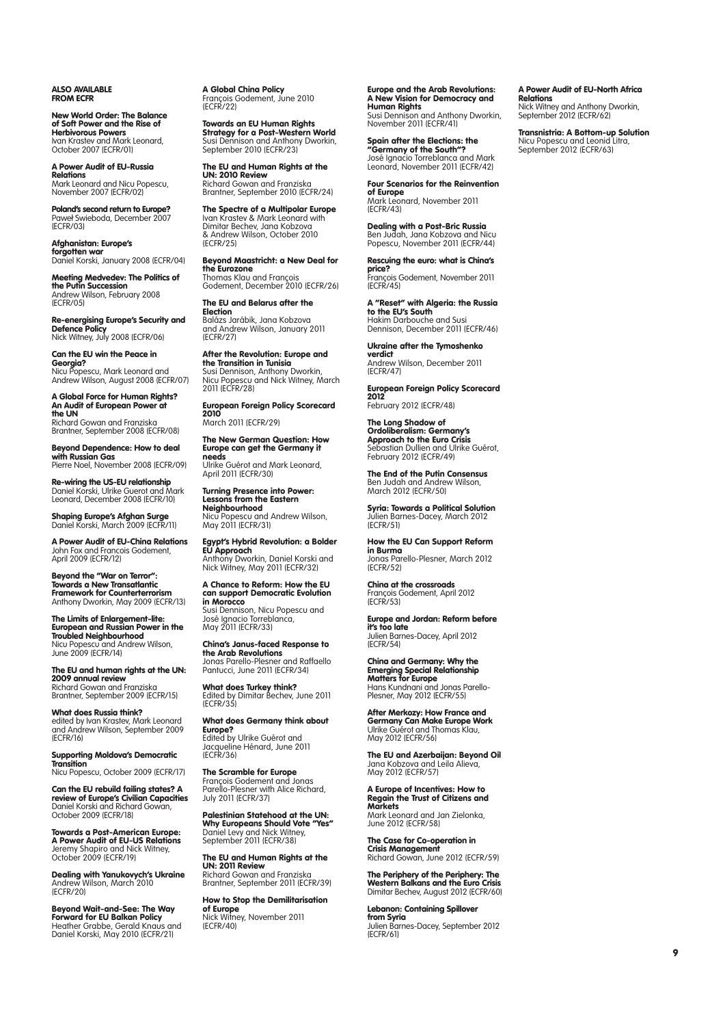Also available FROM ECFR

New World Order: The Balance<br>of Soft Power and the Rise of<br>Herbivorous Powers<br>Ivan Krastev and Mark Leonard,<br>October 2007 (ECFR/01)

A Power Audit of EU-Russia Relations Mark Leonard and Nicu Popescu, November 2007 (ECFR/02)

**Poland's second return to Europe?**<br>Paweł Swieboda, December 2007<br>(ECFR/03)

Afghanistan: Europe's forgotten war Daniel Korski, January 2008 (ECFR/04)

Meeting Medvedev: The Politics of **the Putin Succession**<br>Andrew Wilson, February 2008 (ECFR/05)

**Re-energising Europe's Security and<br><b>Defence Policy**<br>Nick Witney, July 2008 (ECFR/06)

# Can the EU win the Peace in

**Georgia?**<br>Nicu Popescu, Mark Leonard and<br>Andrew Wilson, August 2008 (ECFR/07)

A Global Force for Human Rights? An Audit of European Power at the UN Richard Gowan and Franziska Brantner, September 2008 (ECFR/08)

Beyond Dependence: How to deal with Russian Gas Pierre Noel, November 2008 (ECFR/09)

Re-wiring the US-EU relationship Daniel Korski, Ulrike Guerot and Mark Leonard, December 2008 (ECFR/10)

**Shaping Europe's Afghan Surge**<br>Daniel Korski, March 2009 (ECFR/11)

A Power Audit of EU-China Relations John Fox and Francois Godement, April 2009 (ECFR/12)

Beyond the "War on Terror": Towards a New Transatlantic Framework for Counterterrorism Anthony Dworkin, May 2009 (ECFR/13)

The Limits of Enlargement-lite: European and Russian Power in the Troubled Neighbourhood Nicu Popescu and Andrew Wilson, June 2009 (ECFR/14)

The EU and human rights at the UN: 2009 annual review Richard Gowan and Franziska Brantner, September 2009 (ECFR/15)

What does Russia think? edited by Ivan Krastev, Mark Leonard and Andrew Wilson, September 2009 (ECFR/16)

Supporting Moldova's Democratic Transition Nicu Popescu, October 2009 (ECFR/17)

Can the EU rebuild failing states? A **review of Europe's Civilian Capacities**<br>Daniel Korski and Richard Gowan,<br>October 2009 (ECFR/18)

Towards a Post-American Europe: **A Power Audit of EU-US Relations**<br>Jeremy Shapiro and Nick Witney,<br>October 2009 (ECFR/19)

Dealing with Yanukovych's Ukraine Andrew Wilson, March 2010 (ECFR/20)

Beyond Wait-and-See: The Way **Forward for EU Balkan Policy**<br>Heather Grabbe, Gerald Knaus and<br>Daniel Korski, May 2010 (ECFR/21) **A Global China Policy**<br>François Godement, June 2010<br>(ECFR/22)

**Towards an EU Human Rights<br><b>Strategy for a Post-Western World**<br>Susi Dennison and Anthony Dworkin, September 2010 (ECFR/23)

The EU and Human Rights at the UN: 2010 Review Richard Gowan and Franziska Brantner, September 2010 (ECFR/24)

**The Spectre of a Multipolar Europe**<br>Ivan Krastev & Mark Leonard with<br>Dimitar Bechev, Jana Kobzova & Andrew Wilson, October 2010 (ECFR/25)

Beyond Maastricht: a New Deal for **the Eurozone**<br>Thomas Klau and François

Godement, December 2010 (ECFR/26)

The EU and Belarus after the Election Balázs Jarábik, Jana Kobzova and Andrew Wilson, January 2011 (ECFR/27)

After the Revolution: Europe and the Transition in Tunisia Susi Dennison, Anthony Dworkin, Nicu Popescu and Nick Witney, March

2011 (ECFR/28)

European Foreign Policy Scorecard 2010 March 2011 (ECFR/29)

The New German Question: How Europe can get the Germany it needs

Ulrike Guérot and Mark Leonard, April 2011 (ECFR/30) Turning Presence into Power: Lessons from the Eastern

**Neighbourhood**<br>Nicu Popescu and Andrew Wilson,<br>May 2011 (ECFR/31)

**Egypt's Hybrid Revolution: a Bolder<br><b>EU Approach**<br>Anthony Dworkin, Daniel Korski and Nick Witney, May 2011 (ECFR/32)

A Chance to Reform: How the EU can support Democratic Evolution in Morocco Susi Dennison, Nicu Popescu and

José Ignacio Torreblanca, May 2011 (ECFR/33)

China's Janus-faced Response to **the Arab Revolutions**<br>Jonas Parello-Plesner and Raffaello Pantucci, June 2011 (ECFR/34)

What does Turkey think? Edited by Dimitar Bechev, June 2011 (ECFR/35)

What does Germany think about Europe? Edited by Ulrike Guérot and Jacqueline Hénard, June 2011 (ECFR/36)

### The Scramble for Europe François Godement and Jonas Parello-Plesner with Alice Richard,

July 2011 (ECFR/37) Palestinian Statehood at the UN:

**Why Europeans Should Vote "Yes"**<br>Daniel Levy and Nick Witney,<br>September 2011 (ECFR/38)

The EU and Human Rights at the UN: 2011 Review Richard Gowan and Franziska Brantner, September 2011 (ECFR/39)

How to Stop the Demilitarisation of Europe Nick Witney, November 2011 (ECFR/40)

### Europe and the Arab Revolutions: A New Vision for Democracy and Human Rights

Susi Dennison and Anthony Dworkin, November 2011 (ECFR/41)

**Spain after the Elections: the<br><b>"Germany of the South"?**<br>José Ignacio Torreblanca and Mark Leonard, November 2011 (ECFR/42)

Four Scenarios for the Reinvention **of Europe**<br>Mark Leonard, November 2011 (ECFR/43)

Dealing with a Post-Bric Russia Ben Judah, Jana Kobzova and Nicu Popescu, November 2011 (ECFR/44)

Rescuing the euro: what is China's price? François Godement, November 2011 (ECFR/45)

A "Reset" with Algeria: the Russia to the EU's South Hakim Darbouche and Susi Dennison, December 2011 (ECFR/46)

Ukraine after the Tymoshenko verdict Andrew Wilson, December 2011 (ECFR/47)

European Foreign Policy Scorecard 2012 February 2012 (ECFR/48)

The Long Shadow of Ordoliberalism: Germany's **Approach to the Euro Crisis**<br>Sebastian Dullien and Ulrike Guérot, February 2012 (ECFR/49)

The End of the Putin Consensus Ben Judah and Andrew Wilson, March 2012 (ECFR/50)

Syria: Towards a Political Solution Julien Barnes-Dacey, March 2012 (ECFR/51)

How the EU Can Support Reform in Burma Jonas Parello-Plesner, March 2012 (ECFR/52)

China at the crossroads François Godement, April 2012 (ECFR/53)

Europe and Jordan: Reform before it's too late Julien Barnes-Dacey, April 2012 (ECFR/54)

China and Germany: Why the **Emerging Special Relationship<br><b>Matters for Europe**<br>Hans Kundnani and Jonas Parello-Plesner, May 2012 (ECFR/55)

After Merkozy: How France and Germany Can Make Europe Work<br>Ulrike Guérot and Thomas Klau, May 2012 (ECFR/56)

**The EU and Azerbaijan: Beyond Oi**l<br>Jana Kobzova and Leila Alieva, May 2012 (ECFR/57)

A Europe of Incentives: How to Regain the Trust of Citizens and Markets Mark Leonard and Jan Zielonka, June 2012 (ECFR/58)

The Case for Co-operation in Crisis Management Richard Gowan, June 2012 (ECFR/59)

The Periphery of the Periphery: The Western Balkans and the Euro Crisis Dimitar Bechev, August 2012 (ECFR/60)

Lebanon: Containing Spillover from Syria Julien Barnes-Dacey, September 2012 (ECFR/61)

#### A Power Audit of EU-North Africa Relations

Nick Witney and Anthony Dworkin, September 2012 (ECFR/62)

Transnistria: A Bottom-up Solution Nicu Popescu and Leonid Litra, September 2012 (ECFR/63)